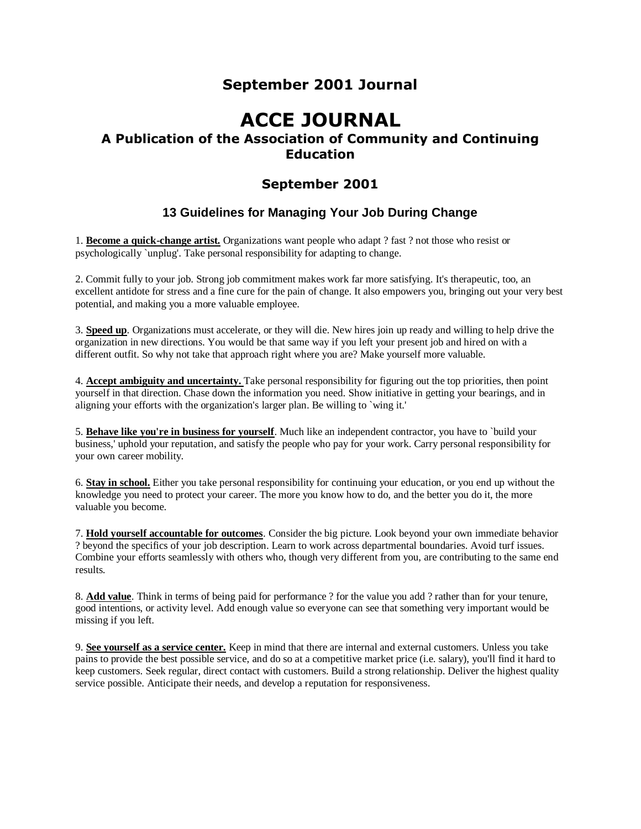## **September 2001 Journal**

# **ACCE JOURNAL**

## **A Publication of the Association of Community and Continuing Education**

## **September 2001**

## **13 Guidelines for Managing Your Job During Change**

1. **Become a quick-change artist.** Organizations want people who adapt ? fast ? not those who resist or psychologically `unplug'. Take personal responsibility for adapting to change.

2. Commit fully to your job. Strong job commitment makes work far more satisfying. It's therapeutic, too, an excellent antidote for stress and a fine cure for the pain of change. It also empowers you, bringing out your very best potential, and making you a more valuable employee.

3. **Speed up**. Organizations must accelerate, or they will die. New hires join up ready and willing to help drive the organization in new directions. You would be that same way if you left your present job and hired on with a different outfit. So why not take that approach right where you are? Make yourself more valuable.

4. **Accept ambiguity and uncertainty.** Take personal responsibility for figuring out the top priorities, then point yourself in that direction. Chase down the information you need. Show initiative in getting your bearings, and in aligning your efforts with the organization's larger plan. Be willing to `wing it.'

5. **Behave like you're in business for yourself**. Much like an independent contractor, you have to `build your business,' uphold your reputation, and satisfy the people who pay for your work. Carry personal responsibility for your own career mobility.

6. **Stay in school.** Either you take personal responsibility for continuing your education, or you end up without the knowledge you need to protect your career. The more you know how to do, and the better you do it, the more valuable you become.

7. **Hold yourself accountable for outcomes**. Consider the big picture. Look beyond your own immediate behavior ? beyond the specifics of your job description. Learn to work across departmental boundaries. Avoid turf issues. Combine your efforts seamlessly with others who, though very different from you, are contributing to the same end results.

8. **Add value**. Think in terms of being paid for performance ? for the value you add ? rather than for your tenure, good intentions, or activity level. Add enough value so everyone can see that something very important would be missing if you left.

9. **See yourself as a service center.** Keep in mind that there are internal and external customers. Unless you take pains to provide the best possible service, and do so at a competitive market price (i.e. salary), you'll find it hard to keep customers. Seek regular, direct contact with customers. Build a strong relationship. Deliver the highest quality service possible. Anticipate their needs, and develop a reputation for responsiveness.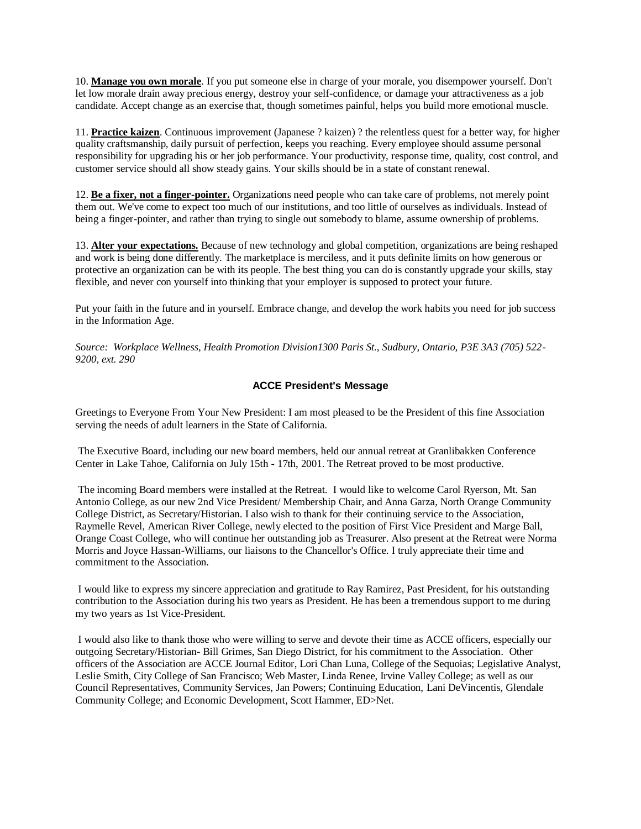10. **Manage you own morale**. If you put someone else in charge of your morale, you disempower yourself. Don't let low morale drain away precious energy, destroy your self-confidence, or damage your attractiveness as a job candidate. Accept change as an exercise that, though sometimes painful, helps you build more emotional muscle.

11. **Practice kaizen**. Continuous improvement (Japanese ? kaizen) ? the relentless quest for a better way, for higher quality craftsmanship, daily pursuit of perfection, keeps you reaching. Every employee should assume personal responsibility for upgrading his or her job performance. Your productivity, response time, quality, cost control, and customer service should all show steady gains. Your skills should be in a state of constant renewal.

12. **Be a fixer, not a finger-pointer.** Organizations need people who can take care of problems, not merely point them out. We've come to expect too much of our institutions, and too little of ourselves as individuals. Instead of being a finger-pointer, and rather than trying to single out somebody to blame, assume ownership of problems.

13. **Alter your expectations.** Because of new technology and global competition, organizations are being reshaped and work is being done differently. The marketplace is merciless, and it puts definite limits on how generous or protective an organization can be with its people. The best thing you can do is constantly upgrade your skills, stay flexible, and never con yourself into thinking that your employer is supposed to protect your future.

Put your faith in the future and in yourself. Embrace change, and develop the work habits you need for job success in the Information Age.

*Source: Workplace Wellness, Health Promotion Division1300 Paris St., Sudbury, Ontario, P3E 3A3 (705) 522- 9200, ext. 290*

#### **ACCE President's Message**

Greetings to Everyone From Your New President: I am most pleased to be the President of this fine Association serving the needs of adult learners in the State of California.

The Executive Board, including our new board members, held our annual retreat at Granlibakken Conference Center in Lake Tahoe, California on July 15th - 17th, 2001. The Retreat proved to be most productive.

The incoming Board members were installed at the Retreat. I would like to welcome Carol Ryerson, Mt. San Antonio College, as our new 2nd Vice President/ Membership Chair, and Anna Garza, North Orange Community College District, as Secretary/Historian. I also wish to thank for their continuing service to the Association, Raymelle Revel, American River College, newly elected to the position of First Vice President and Marge Ball, Orange Coast College, who will continue her outstanding job as Treasurer. Also present at the Retreat were Norma Morris and Joyce Hassan-Williams, our liaisons to the Chancellor's Office. I truly appreciate their time and commitment to the Association.

I would like to express my sincere appreciation and gratitude to Ray Ramirez, Past President, for his outstanding contribution to the Association during his two years as President. He has been a tremendous support to me during my two years as 1st Vice-President.

I would also like to thank those who were willing to serve and devote their time as ACCE officers, especially our outgoing Secretary/Historian- Bill Grimes, San Diego District, for his commitment to the Association. Other officers of the Association are ACCE Journal Editor, Lori Chan Luna, College of the Sequoias; Legislative Analyst, Leslie Smith, City College of San Francisco; Web Master, Linda Renee, Irvine Valley College; as well as our Council Representatives, Community Services, Jan Powers; Continuing Education, Lani DeVincentis, Glendale Community College; and Economic Development, Scott Hammer, ED>Net.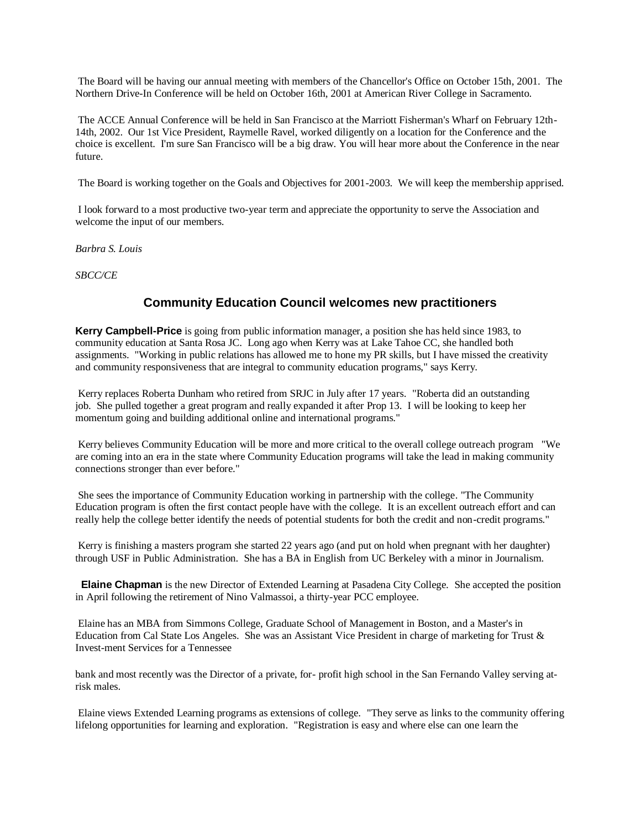The Board will be having our annual meeting with members of the Chancellor's Office on October 15th, 2001. The Northern Drive-In Conference will be held on October 16th, 2001 at American River College in Sacramento.

The ACCE Annual Conference will be held in San Francisco at the Marriott Fisherman's Wharf on February 12th-14th, 2002. Our 1st Vice President, Raymelle Ravel, worked diligently on a location for the Conference and the choice is excellent. I'm sure San Francisco will be a big draw. You will hear more about the Conference in the near future.

The Board is working together on the Goals and Objectives for 2001-2003. We will keep the membership apprised.

I look forward to a most productive two-year term and appreciate the opportunity to serve the Association and welcome the input of our members.

*Barbra S. Louis*

*SBCC/CE*

## **Community Education Council welcomes new practitioners**

**Kerry Campbell-Price** is going from public information manager, a position she has held since 1983, to community education at Santa Rosa JC. Long ago when Kerry was at Lake Tahoe CC, she handled both assignments. "Working in public relations has allowed me to hone my PR skills, but I have missed the creativity and community responsiveness that are integral to community education programs," says Kerry.

Kerry replaces Roberta Dunham who retired from SRJC in July after 17 years. "Roberta did an outstanding job. She pulled together a great program and really expanded it after Prop 13. I will be looking to keep her momentum going and building additional online and international programs."

Kerry believes Community Education will be more and more critical to the overall college outreach program "We are coming into an era in the state where Community Education programs will take the lead in making community connections stronger than ever before."

She sees the importance of Community Education working in partnership with the college. "The Community Education program is often the first contact people have with the college. It is an excellent outreach effort and can really help the college better identify the needs of potential students for both the credit and non-credit programs."

Kerry is finishing a masters program she started 22 years ago (and put on hold when pregnant with her daughter) through USF in Public Administration. She has a BA in English from UC Berkeley with a minor in Journalism.

**Elaine Chapman** is the new Director of Extended Learning at Pasadena City College. She accepted the position in April following the retirement of Nino Valmassoi, a thirty-year PCC employee.

Elaine has an MBA from Simmons College, Graduate School of Management in Boston, and a Master's in Education from Cal State Los Angeles. She was an Assistant Vice President in charge of marketing for Trust & Invest-ment Services for a Tennessee

bank and most recently was the Director of a private, for- profit high school in the San Fernando Valley serving atrisk males.

Elaine views Extended Learning programs as extensions of college. "They serve as links to the community offering lifelong opportunities for learning and exploration. "Registration is easy and where else can one learn the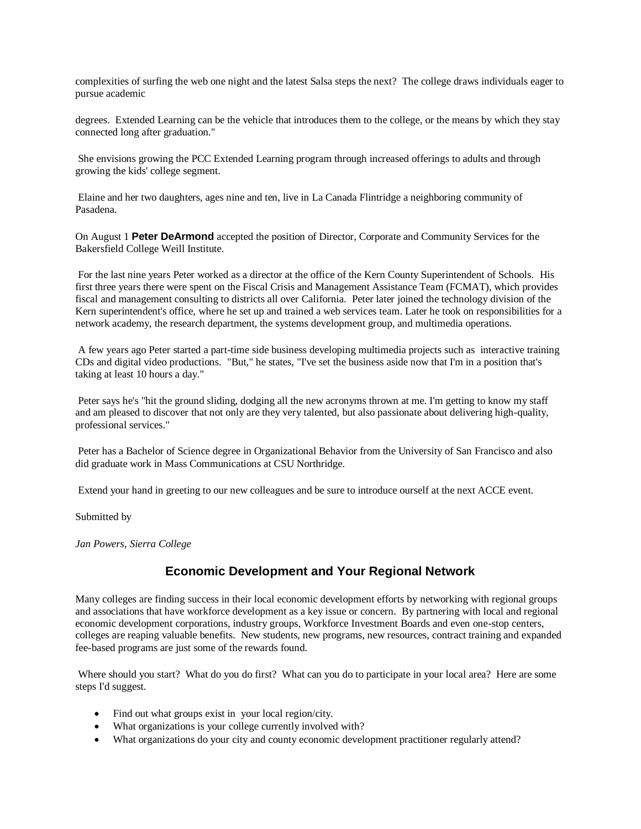complexities of surfing the web one night and the latest Salsa steps the next? The college draws individuals eager to pursue academic

degrees. Extended Learning can be the vehicle that introduces them to the college, or the means by which they stay connected long after graduation."

She envisions growing the PCC Extended Learning program through increased offerings to adults and through growing the kids' college segment.

Elaine and her two daughters, ages nine and ten, live in La Canada Flintridge a neighboring community of Pasadena.

On August 1 **Peter DeArmond** accepted the position of Director, Corporate and Community Services for the Bakersfield College Weill Institute.

For the last nine years Peter worked as a director at the office of the Kern County Superintendent of Schools. His first three years there were spent on the Fiscal Crisis and Management Assistance Team (FCMAT), which provides fiscal and management consulting to districts all over California. Peter later joined the technology division of the Kern superintendent's office, where he set up and trained a web services team. Later he took on responsibilities for a network academy, the research department, the systems development group, and multimedia operations.

A few years ago Peter started a part-time side business developing multimedia projects such as interactive training CDs and digital video productions. "But," he states, "I've set the business aside now that I'm in a position that's taking at least 10 hours a day."

Peter says he's "hit the ground sliding, dodging all the new acronyms thrown at me. I'm getting to know my staff and am pleased to discover that not only are they very talented, but also passionate about delivering high-quality, professional services."

Peter has a Bachelor of Science degree in Organizational Behavior from the University of San Francisco and also did graduate work in Mass Communications at CSU Northridge.

Extend your hand in greeting to our new colleagues and be sure to introduce ourself at the next ACCE event.

Submitted by

*Jan Powers, Sierra College*

#### **Economic Development and Your Regional Network**

Many colleges are finding success in their local economic development efforts by networking with regional groups and associations that have workforce development as a key issue or concern. By partnering with local and regional economic development corporations, industry groups, Workforce Investment Boards and even one-stop centers, colleges are reaping valuable benefits. New students, new programs, new resources, contract training and expanded fee-based programs are just some of the rewards found.

Where should you start? What do you do first? What can you do to participate in your local area? Here are some steps I'd suggest.

- Find out what groups exist in your local region/city.
- What organizations is your college currently involved with?
- What organizations do your city and county economic development practitioner regularly attend?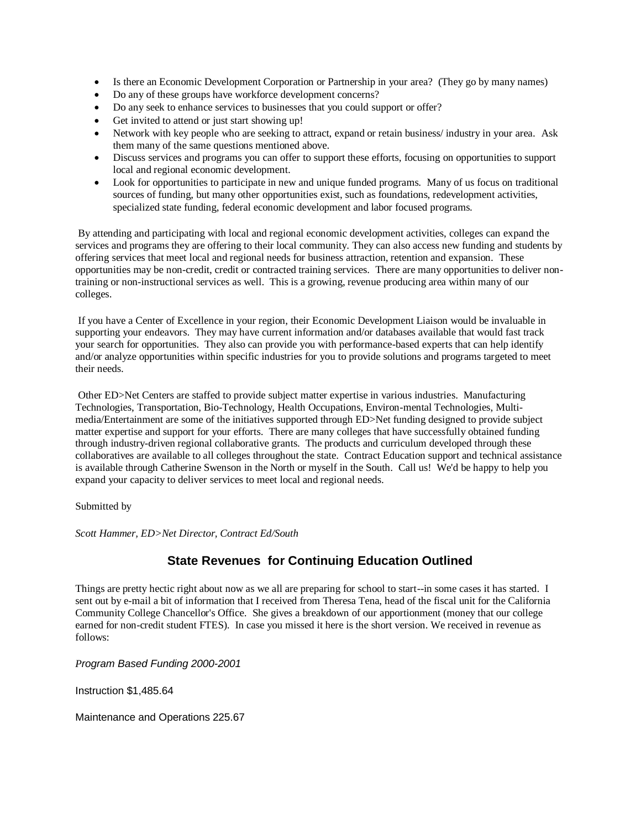- Is there an Economic Development Corporation or Partnership in your area? (They go by many names)
- Do any of these groups have workforce development concerns?
- Do any seek to enhance services to businesses that you could support or offer?
- Get invited to attend or just start showing up!
- Network with key people who are seeking to attract, expand or retain business/ industry in your area. Ask them many of the same questions mentioned above.
- Discuss services and programs you can offer to support these efforts, focusing on opportunities to support local and regional economic development.
- Look for opportunities to participate in new and unique funded programs. Many of us focus on traditional sources of funding, but many other opportunities exist, such as foundations, redevelopment activities, specialized state funding, federal economic development and labor focused programs.

By attending and participating with local and regional economic development activities, colleges can expand the services and programs they are offering to their local community. They can also access new funding and students by offering services that meet local and regional needs for business attraction, retention and expansion. These opportunities may be non-credit, credit or contracted training services. There are many opportunities to deliver nontraining or non-instructional services as well. This is a growing, revenue producing area within many of our colleges.

If you have a Center of Excellence in your region, their Economic Development Liaison would be invaluable in supporting your endeavors. They may have current information and/or databases available that would fast track your search for opportunities. They also can provide you with performance-based experts that can help identify and/or analyze opportunities within specific industries for you to provide solutions and programs targeted to meet their needs.

Other ED>Net Centers are staffed to provide subject matter expertise in various industries. Manufacturing Technologies, Transportation, Bio-Technology, Health Occupations, Environ-mental Technologies, Multimedia/Entertainment are some of the initiatives supported through ED>Net funding designed to provide subject matter expertise and support for your efforts. There are many colleges that have successfully obtained funding through industry-driven regional collaborative grants. The products and curriculum developed through these collaboratives are available to all colleges throughout the state. Contract Education support and technical assistance is available through Catherine Swenson in the North or myself in the South. Call us! We'd be happy to help you expand your capacity to deliver services to meet local and regional needs.

Submitted by

*Scott Hammer, ED>Net Director, Contract Ed/South*

## **State Revenues for Continuing Education Outlined**

Things are pretty hectic right about now as we all are preparing for school to start--in some cases it has started. I sent out by e-mail a bit of information that I received from Theresa Tena, head of the fiscal unit for the California Community College Chancellor's Office. She gives a breakdown of our apportionment (money that our college earned for non-credit student FTES). In case you missed it here is the short version. We received in revenue as follows:

*Program Based Funding 2000-2001*

Instruction \$1,485.64

Maintenance and Operations 225.67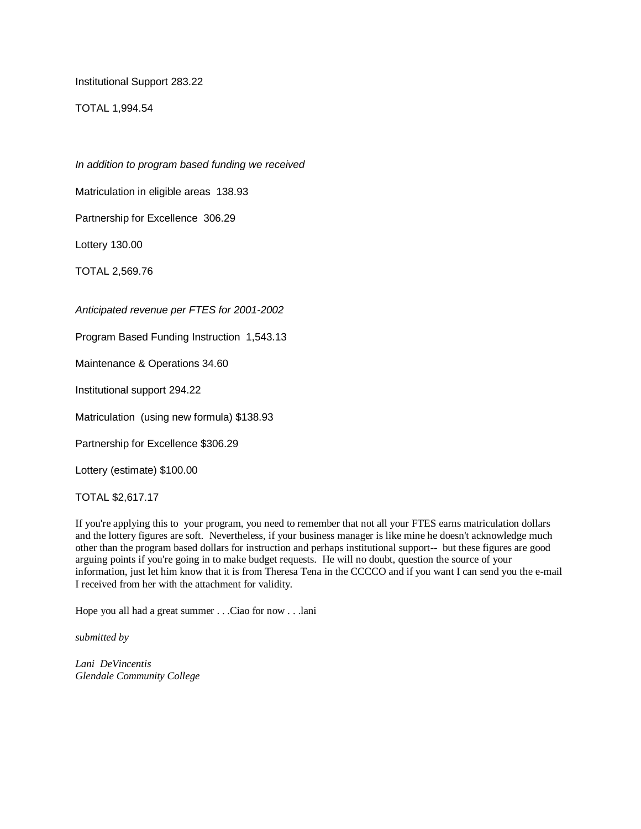Institutional Support 283.22

TOTAL 1,994.54

*In addition to program based funding we received*

Matriculation in eligible areas 138.93

Partnership for Excellence 306.29

Lottery 130.00

TOTAL 2,569.76

*Anticipated revenue per FTES for 2001-2002*

Program Based Funding Instruction 1,543.13

Maintenance & Operations 34.60

Institutional support 294.22

Matriculation (using new formula) \$138.93

Partnership for Excellence \$306.29

Lottery (estimate) \$100.00

TOTAL \$2,617.17

If you're applying this to your program, you need to remember that not all your FTES earns matriculation dollars and the lottery figures are soft. Nevertheless, if your business manager is like mine he doesn't acknowledge much other than the program based dollars for instruction and perhaps institutional support-- but these figures are good arguing points if you're going in to make budget requests. He will no doubt, question the source of your information, just let him know that it is from Theresa Tena in the CCCCO and if you want I can send you the e-mail I received from her with the attachment for validity.

Hope you all had a great summer . . .Ciao for now . . .lani

*submitted by*

*Lani DeVincentis Glendale Community College*